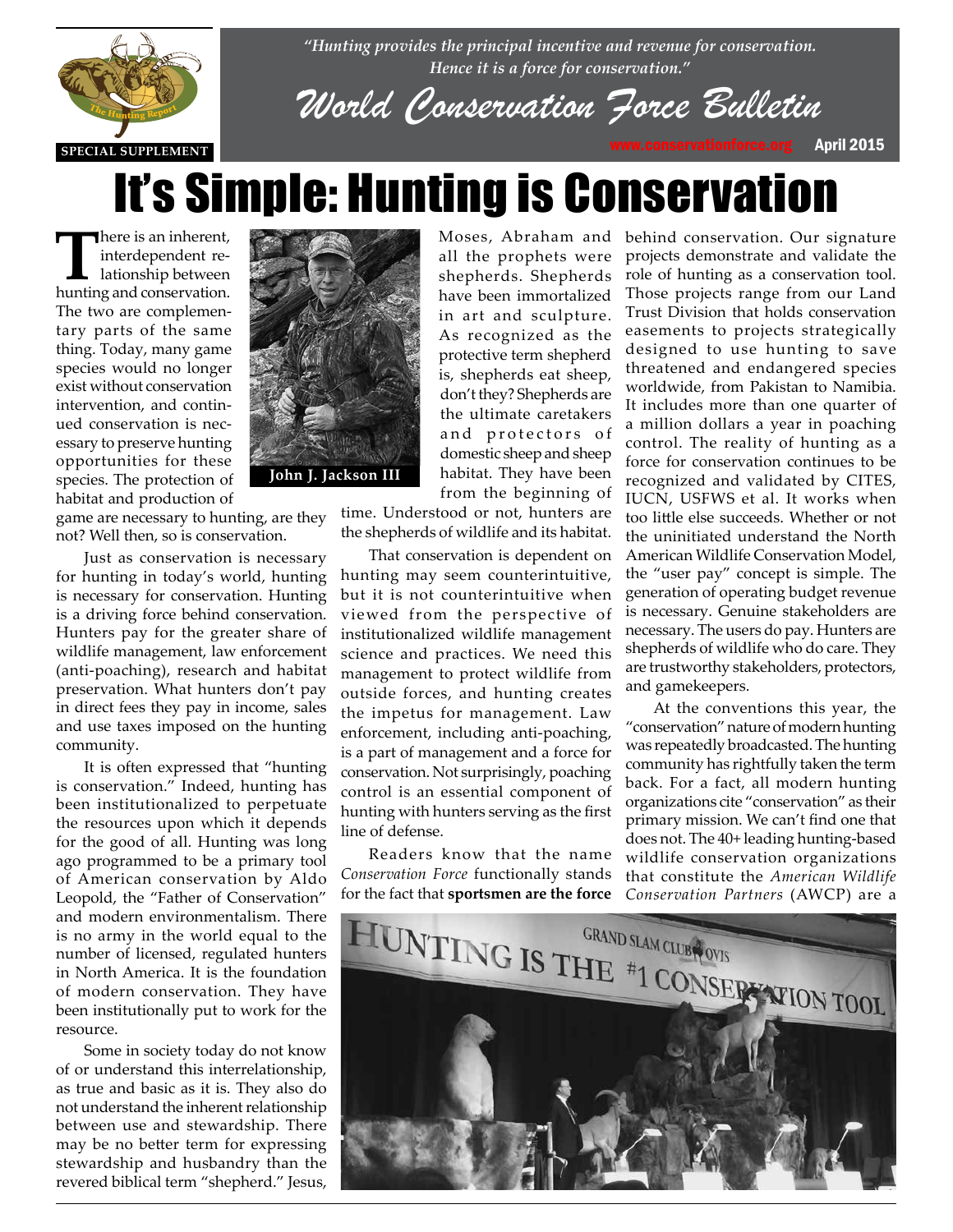

*"Hunting provides the principal incentive and revenue for conservation. Hence it is a force for conservation."*

*World Conservation Force Bulletin*

# It's Simple: Hunting is Conservation

all the prophets were shepherds. Shepherds have been immortalized in art and sculpture. As recognized as the protective term shepherd is, shepherds eat sheep, don't they? Shepherds are the ultimate caretakers and protectors of

There is an inherent,<br>interdependent re-<br>lationship between interdependent relationship between hunting and conservation. The two are complementary parts of the same thing. Today, many game species would no longer exist without conservation intervention, and continued conservation is necessary to preserve hunting opportunities for these species. The protection of habitat and production of

game are necessary to hunting, are they game are necessary to nunting, are<br>not? Well then, so is conservation.

Just as conservation is necessary for hunting in today's world, hunting is necessary for conservation. Hunting is necessary for conservation. Hunting<br>is a driving force behind conservation. Hunters pay for the greater share of wildlife management, law enforcement (anti-poaching), research and habitat preservation. What hunters don't pay in direct fees they pay in income, sales and use taxes imposed on the hunting community.

> It is often expressed that "hunting is conservation." Indeed, hunting has been institutionalized to perpetuate the resources upon which it depends for the good of all. Hunting was long ago programmed to be a primary tool of American conservation by Aldo Leopold, the "Father of Conservation" and modern environmentalism. There is no army in the world equal to the number of licensed, regulated hunters in North America. It is the foundation of modern conservation. They have been institutionally put to work for the resource.

> Some in society today do not know of or understand this interrelationship, as true and basic as it is. They also do not understand the inherent relationship between use and stewardship. There may be no better term for expressing stewardship and husbandry than the revered biblical term "shepherd." Jesus,



**John J. Jackson III**

domestic sheep and sheep habitat. They have been from the beginning of time. Understood or not, hunters are

the shepherds of wildlife and its habitat. That conservation is dependent on hunting may seem counterintuitive, but it is not counterintuitive when viewed from the perspective of institutionalized wildlife management science and practices. We need this management to protect wildlife from outside forces, and hunting creates the impetus for management. Law enforcement, including anti-poaching, is a part of management and a force for conservation. Not surprisingly, poaching control is an essential component of

Readers know that the name *Conservation Force* functionally stands for the fact that **sportsmen are the force**

hunting with hunters serving as the first

line of defense.

Moses, Abraham and behind conservation. Our signature projects demonstrate and validate the role of hunting as a conservation tool. Those projects range from our Land Trust Division that holds conservation easements to projects strategically designed to use hunting to save threatened and endangered species worldwide, from Pakistan to Namibia. It includes more than one quarter of a million dollars a year in poaching control. The reality of hunting as a force for conservation continues to be recognized and validated by CITES, IUCN, USFWS et al. It works when too little else succeeds. Whether or not the uninitiated understand the North American Wildlife Conservation Model, the "user pay" concept is simple. The generation of operating budget revenue is necessary. Genuine stakeholders are necessary. The users do pay. Hunters are shepherds of wildlife who do care. They are trustworthy stakeholders, protectors, and gamekeepers.

> At the conventions this year, the "conservation" nature of modern hunting was repeatedly broadcasted. The hunting community has rightfully taken the term back. For a fact, all modern hunting organizations cite "conservation" as their primary mission. We can't find one that does not. The 40+ leading hunting-based wildlife conservation organizations that constitute the *American Wildlife Conservation Partners* (AWCP) are a

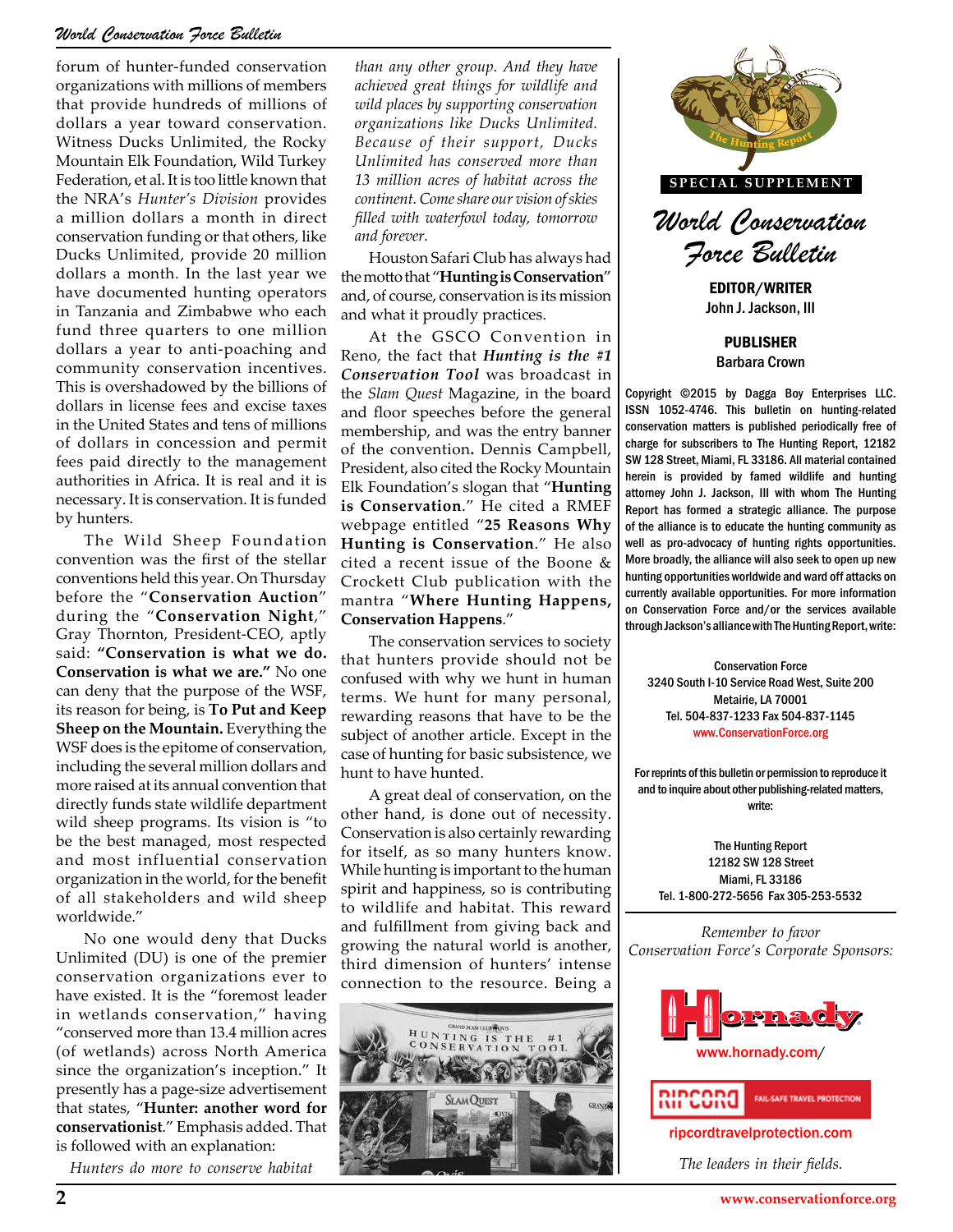#### *World Conservation Force Bulletin*

forum of hunter-funded conservation organizations with millions of members that provide hundreds of millions of dollars a year toward conservation. Witness Ducks Unlimited, the Rocky Mountain Elk Foundation, Wild Turkey Federation, et al. It is too little known that the NRA's *Hunter's Division* provides a million dollars a month in direct conservation funding or that others, like Ducks Unlimited, provide 20 million dollars a month. In the last year we have documented hunting operators in Tanzania and Zimbabwe who each fund three quarters to one million dollars a year to anti-poaching and community conservation incentives. This is overshadowed by the billions of dollars in license fees and excise taxes in the United States and tens of millions of dollars in concession and permit fees paid directly to the management authorities in Africa. It is real and it is necessary. It is conservation. It is funded by hunters.

The Wild Sheep Foundation convention was the first of the stellar conventions held this year. On Thursday before the "**Conservation Auction**" during the "**Conservation Night**," Gray Thornton, President-CEO, aptly said: **"Conservation is what we do. Conservation is what we are."** No one can deny that the purpose of the WSF, its reason for being, is **To Put and Keep Sheep on the Mountain.** Everything the WSF does is the epitome of conservation, including the several million dollars and more raised at its annual convention that directly funds state wildlife department wild sheep programs. Its vision is "to be the best managed, most respected and most influential conservation organization in the world, for the benefit of all stakeholders and wild sheep worldwide."

No one would deny that Ducks Unlimited (DU) is one of the premier conservation organizations ever to have existed. It is the "foremost leader in wetlands conservation," having "conserved more than 13.4 million acres (of wetlands) across North America since the organization's inception." It presently has a page-size advertisement that states, "**Hunter: another word for conservationist**." Emphasis added. That is followed with an explanation:

*Hunters do more to conserve habitat* 

*than any other group. And they have achieved great things for wildlife and wild places by supporting conservation organizations like Ducks Unlimited. Because of their support, Ducks Unlimited has conserved more than 13 million acres of habitat across the continent. Come share our vision of skies filled with waterfowl today, tomorrow and forever.*

Houston Safari Club has always had the motto that "**Hunting is Conservation**" and, of course, conservation is its mission and what it proudly practices.

At the GSCO Convention in Reno, the fact that *Hunting is the #1 Conservation Tool* was broadcast in the *Slam Quest* Magazine, in the board and floor speeches before the general membership, and was the entry banner of the convention**.** Dennis Campbell, President, also cited the Rocky Mountain Elk Foundation's slogan that "**Hunting is Conservation**." He cited a RMEF webpage entitled "**25 Reasons Why Hunting is Conservation**." He also cited a recent issue of the Boone & Crockett Club publication with the mantra "**Where Hunting Happens, Conservation Happens**."

appens.<br>ation services to society<br>rovide should not be **THE HUNTING REPORT THE SUBJECT OF AN INCREDIBLY THE SUBJECT OF AN INCREDIBLY SUBJECT OF AN INCREASURATION FORE CONTRACT OF A SUBJECT OF A SUBJECT OF A SUBJECT OF A SUBJECT OF A SUBJECT OF A SUBJECT OF A SUBJECT OF A SUBJE** The conservation services to society that hunters provide should not be confused with why we hunt in human terms. We hunt for many personal, rewarding reasons that have to be the case of hunting for basic subsistence, we hunt to have hunted.

A great deal of conservation, on the other hand, is done out of necessity. Conservation is also certainly rewarding for itself, as so many hunters know. While hunting is important to the human spirit and happiness, so is contributing to wildlife and habitat. This reward and fulfillment from giving back and growing the natural world is another, third dimension of hunters' intense connection to the resource. Being a





*World Conservation Force Bulletin*

EDITOR/WRITER John J. Jackson, III

PUBLISHER Barbara Crown

Copyright ©2015 by Dagga Boy Enterprises LLC. ISSN 1052-4746. This bulletin on hunting-related conservation matters is published periodically free of charge for subscribers to The Hunting Report, 12182 SW 128 Street, Miami, FL 33186. All material contained herein is provided by famed wildlife and hunting attorney John J. Jackson, III with whom The Hunting Report has formed a strategic alliance. The purpose of the alliance is to educate the hunting community as well as pro-advocacy of hunting rights opportunities. More broadly, the alliance will also seek to open up new hunting opportunities worldwide and ward off attacks on currently available opportunities. For more information on Conservation Force and/or the services available

Conservation Force 3240 South I-10 Service Road West, Suite 200 Metairie, LA 70001 Tel. 504-837-1233 Fax 504-837-1145 www.ConservationForce.org

For reprints of this bulletin or permission to reproduce it and to inquire about other publishing-related matters, write:

The Hunting Report 12182 SW 128 Street Miami, FL 33186 Tel. 1-800-272-5656 Fax 305-253-5532

*Remember to favor Conservation Force's Corporate Sponsors:*



**RIPCORD** FAIL-SAFE TRAVEL PROTECTION

ripcordtravelprotection.com

*The leaders in their fields.*

**www.conservationforce.org**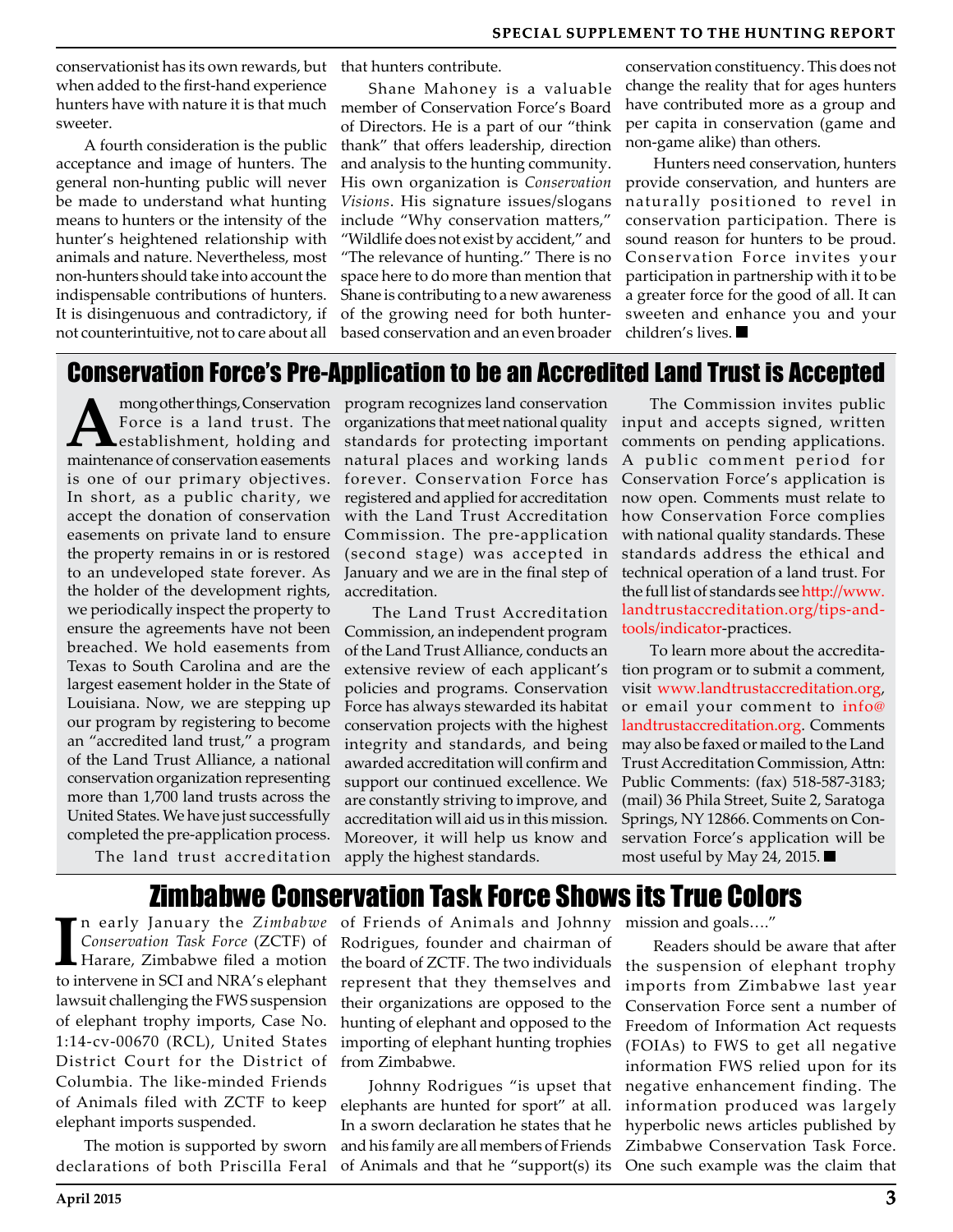conservationist has its own rewards, but when added to the first-hand experience hunters have with nature it is that much sweeter.

A fourth consideration is the public acceptance and image of hunters. The general non-hunting public will never be made to understand what hunting means to hunters or the intensity of the hunter's heightened relationship with animals and nature. Nevertheless, most non-hunters should take into account the indispensable contributions of hunters. It is disingenuous and contradictory, if not counterintuitive, not to care about all

that hunters contribute.

Shane Mahoney is a valuable member of Conservation Force's Board of Directors. He is a part of our "think thank" that offers leadership, direction and analysis to the hunting community. His own organization is *Conservation Visions*. His signature issues/slogans include "Why conservation matters," "Wildlife does not exist by accident," and "The relevance of hunting." There is no space here to do more than mention that Shane is contributing to a new awareness of the growing need for both hunterbased conservation and an even broader

conservation constituency. This does not change the reality that for ages hunters have contributed more as a group and per capita in conservation (game and non-game alike) than others.

Hunters need conservation, hunters provide conservation, and hunters are naturally positioned to revel in conservation participation. There is sound reason for hunters to be proud. Conservation Force invites your participation in partnership with it to be a greater force for the good of all. It can sweeten and enhance you and your children's lives.

## Conservation Force's Pre-Application to be an Accredited Land Trust is Accepted

**A** mong other things, Conservation<br>
Force is a land trust. The<br>
maintenance of conservation assements Force is a land trust. The maintenance of conservation easements is one of our primary objectives. In short, as a public charity, we accept the donation of conservation easements on private land to ensure the property remains in or is restored to an undeveloped state forever. As the holder of the development rights, we periodically inspect the property to ensure the agreements have not been breached. We hold easements from Texas to South Carolina and are the largest easement holder in the State of Louisiana. Now, we are stepping up our program by registering to become an "accredited land trust," a program of the Land Trust Alliance, a national conservation organization representing more than 1,700 land trusts across the United States. We have just successfully completed the pre-application process.

The land trust accreditation

program recognizes land conservation organizations that meet national quality standards for protecting important natural places and working lands forever. Conservation Force has registered and applied for accreditation with the Land Trust Accreditation Commission. The pre-application (second stage) was accepted in January and we are in the final step of accreditation.

The Land Trust Accreditation Commission, an independent program of the Land Trust Alliance, conducts an extensive review of each applicant's policies and programs. Conservation Force has always stewarded its habitat conservation projects with the highest integrity and standards, and being awarded accreditation will confirm and support our continued excellence. We are constantly striving to improve, and accreditation will aid us in this mission. Moreover, it will help us know and apply the highest standards.

The Commission invites public input and accepts signed, written comments on pending applications. A public comment period for Conservation Force's application is now open. Comments must relate to how Conservation Force complies with national quality standards. These standards address the ethical and technical operation of a land trust. For the full list of standards see http://www. landtrustaccreditation.org/tips-andtools/indicator-practices.

To learn more about the accreditation program or to submit a comment, visit www.landtrustaccreditation.org, or email your comment to info@ landtrustaccreditation.org. Comments may also be faxed or mailed to the Land Trust Accreditation Commission, Attn: Public Comments: (fax) 518-587-3183; (mail) 36 Phila Street, Suite 2, Saratoga Springs, NY 12866. Comments on Conservation Force's application will be most useful by May 24, 2015.

## Zimbabwe Conservation Task Force Shows its True Colors

**I** n early January the *Zimbabwe Conservation Task Force* (ZCTF) of Harare, Zimbabwe filed a motion to intervene in SCI and NRA's elephant lawsuit challenging the FWS suspension of elephant trophy imports, Case No. 1:14-cv-00670 (RCL), United States District Court for the District of Columbia. The like-minded Friends of Animals filed with ZCTF to keep elephant imports suspended.

The motion is supported by sworn declarations of both Priscilla Feral of Friends of Animals and Johnny Rodrigues, founder and chairman of the board of ZCTF. The two individuals represent that they themselves and their organizations are opposed to the hunting of elephant and opposed to the importing of elephant hunting trophies from Zimbabwe.

Johnny Rodrigues "is upset that elephants are hunted for sport" at all. In a sworn declaration he states that he and his family are all members of Friends of Animals and that he "support(s) its mission and goals…."

Readers should be aware that after the suspension of elephant trophy imports from Zimbabwe last year Conservation Force sent a number of Freedom of Information Act requests (FOIAs) to FWS to get all negative information FWS relied upon for its negative enhancement finding. The information produced was largely hyperbolic news articles published by Zimbabwe Conservation Task Force. One such example was the claim that